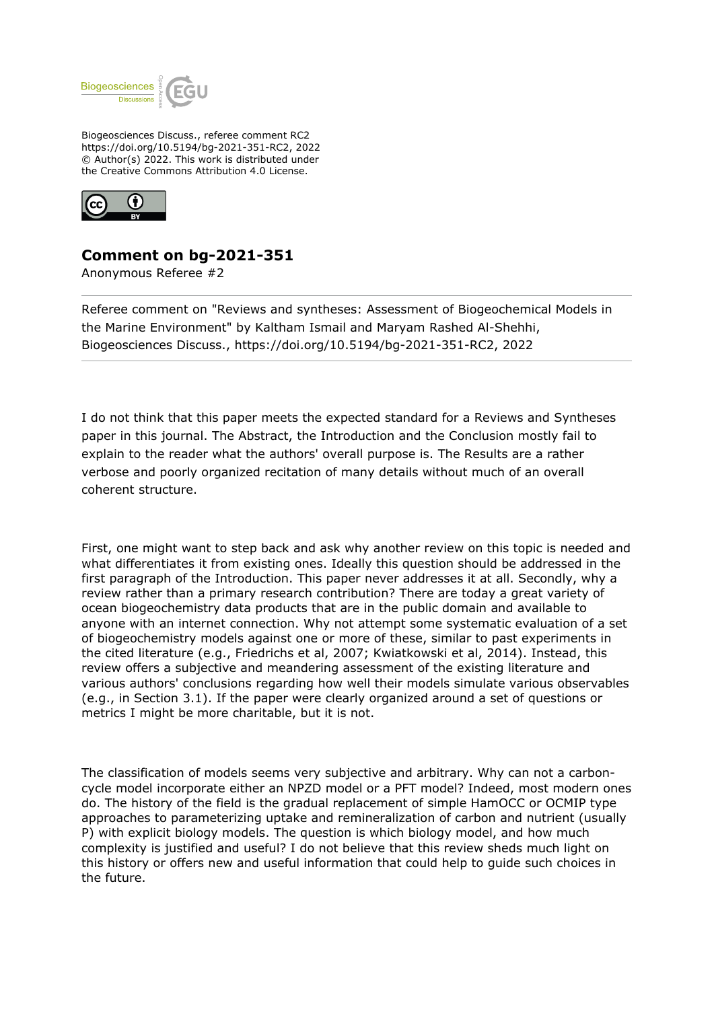

Biogeosciences Discuss., referee comment RC2 https://doi.org/10.5194/bg-2021-351-RC2, 2022 © Author(s) 2022. This work is distributed under the Creative Commons Attribution 4.0 License.



## **Comment on bg-2021-351**

Anonymous Referee #2

Referee comment on "Reviews and syntheses: Assessment of Biogeochemical Models in the Marine Environment" by Kaltham Ismail and Maryam Rashed Al-Shehhi, Biogeosciences Discuss., https://doi.org/10.5194/bg-2021-351-RC2, 2022

I do not think that this paper meets the expected standard for a Reviews and Syntheses paper in this journal. The Abstract, the Introduction and the Conclusion mostly fail to explain to the reader what the authors' overall purpose is. The Results are a rather verbose and poorly organized recitation of many details without much of an overall coherent structure.

First, one might want to step back and ask why another review on this topic is needed and what differentiates it from existing ones. Ideally this question should be addressed in the first paragraph of the Introduction. This paper never addresses it at all. Secondly, why a review rather than a primary research contribution? There are today a great variety of ocean biogeochemistry data products that are in the public domain and available to anyone with an internet connection. Why not attempt some systematic evaluation of a set of biogeochemistry models against one or more of these, similar to past experiments in the cited literature (e.g., Friedrichs et al, 2007; Kwiatkowski et al, 2014). Instead, this review offers a subjective and meandering assessment of the existing literature and various authors' conclusions regarding how well their models simulate various observables (e.g., in Section 3.1). If the paper were clearly organized around a set of questions or metrics I might be more charitable, but it is not.

The classification of models seems very subjective and arbitrary. Why can not a carboncycle model incorporate either an NPZD model or a PFT model? Indeed, most modern ones do. The history of the field is the gradual replacement of simple HamOCC or OCMIP type approaches to parameterizing uptake and remineralization of carbon and nutrient (usually P) with explicit biology models. The question is which biology model, and how much complexity is justified and useful? I do not believe that this review sheds much light on this history or offers new and useful information that could help to guide such choices in the future.